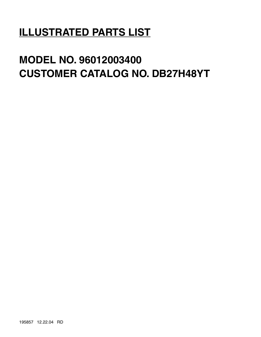# **ILLUSTRATED PARTS LIST**

# **MODEL NO. 96012003400 CUSTOMER CATALOG NO. DB27H48YT**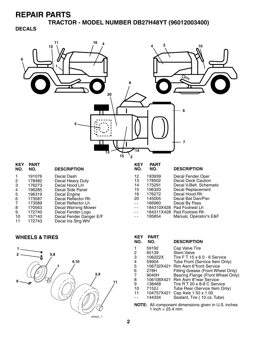**TRACTOR - MODEL NUMBER DB27H48YT (96012003400)**

#### **DECALS**



| <b>KEY</b><br>NO. | <b>PART</b><br>NO. | <b>DESCRIPTION</b>      | <b>KEY</b><br>NO. | <b>PART</b><br>NO. | <b>DESCRIPTION</b>         |
|-------------------|--------------------|-------------------------|-------------------|--------------------|----------------------------|
|                   | 191076             | Decal Dash              | 12                | 193939             | Decal Fender Oper          |
| $\overline{2}$    | 178482             | Decal Heavy Duty        | 13                | 178502             | <b>Decal Deck Caution</b>  |
| 3                 | 176273             | Decal Hood LH           | 14                | 175291             | Decal V-Belt Schematic     |
| 4                 | 196285             | Decal Side Panel        | 15                | 196320             | Decal Replacement          |
| 5                 | 196319             | Decal Engine            | 16                | 176272             | Decal Hood Rh              |
| 6                 | 173587             | Decal Reflector Rh      | 20                | 145005             | Decal Bat Dan/Psn          |
| 7                 | 173589             | Decal Reflector Lh      | $ -$              | 166960             | Decal By Pass              |
| 8                 | 170563             | Decal Warning Mower     | $ -$              |                    | 184310X428 Pad Footrest Lh |
| 9                 | 172740             | Decal Fender Logo       | $ -$              |                    | 184311X428 Pad Footrest Rh |
| 10                | 157140             | Decal Fender Danger E/F | $\sim$ $\sim$     | 195854             | Manual, Operator's E&F     |
| 11                | 172743             | Decal Ins Strg Whl      |                   |                    |                            |
|                   |                    |                         |                   |                    |                            |

#### **WHEELS & TIRES**



| <b>KEY</b><br>NO. | PART<br>NO. | <b>DESCRIPTION</b>                |
|-------------------|-------------|-----------------------------------|
|                   | 59192       | Cap Valve Tire                    |
| 2                 | 65139       | <b>Stem Valve</b>                 |
| 3                 | 106222X     | Tire FT 15 x 6 0 - 6 Service      |
| 4                 | 59904       | Tube Front (Service Item Only)    |
| 5                 | 106732X421  | <b>Rim Asm 6"front Service</b>    |
| 6                 | 278H        | Fitting Grease (Front Wheel Only) |
| 7                 | 9040H       | Bearing Flange (Front Wheel Only) |
| 8                 | 106108X421  | Rim Asm 8"rear Service            |
| 9                 | 138468      | Tire R T 20 x 8-8 C Service       |
| 10                | 7152J       | Tube Rear (Service Item Only)     |
| 11                | 104757X421  | Cap Axle 1 50 x 1 00              |
|                   | 144334      | Sealant, Tire (10 oz. Tube)       |

**NOTE:** All component dimensions given in U.S. inches 1 inch = 25.4 mm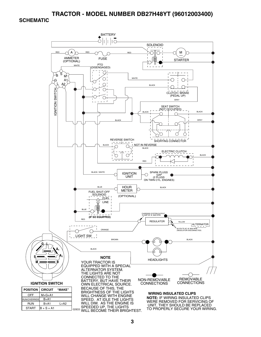#### **TRACTOR - MODEL NUMBER DB27H48YT (96012003400)**

#### **SCHEMATIC**

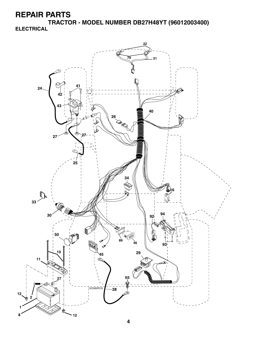**TRACTOR - MODEL NUMBER DB27H48YT (96012003400) ELECTRICAL**

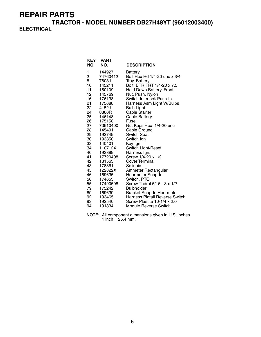**TRACTOR - MODEL NUMBER DB27H48YT (96012003400) ELECTRICAL**

| <b>KEY</b><br>NO. | <b>PART</b><br>NO. | <b>DESCRIPTION</b>                        |
|-------------------|--------------------|-------------------------------------------|
| 1                 | 144927             | <b>Battery</b>                            |
| 2                 | 74760412           | Bolt Hex Hd 1/4-20 unc x 3/4              |
| 8                 | 7603J              | Tray, Battery                             |
| 10                | 145211             | Bolt, BTR FRT 1/4-20 x 7.5                |
| 11                | 150109             | Hold Down Battery, Front                  |
| 12                | 145769             | Nut, Push, Nylon                          |
| 16                | 176138             | Switch Interlock Push-In                  |
| 21                | 175688             | Harness Asm Light W/Bulbs                 |
| 22                | 4152J              | <b>Bulb Light</b>                         |
| 24                | 8860R              | <b>Cable Starter</b>                      |
| 25                | 146148             | <b>Cable Battery</b>                      |
| 26                | 175158             | Fuse                                      |
| 27                | 73510400           | Nut Keps Hex 1/4-20 unc                   |
| 28                | 145491             | Cable Ground                              |
| 29                | 192749             | Switch Seat                               |
| 30 —              | 193350             | Switch Ign                                |
| 33                | 140401             | Key Ign                                   |
| 34                | 110712X            | Switch Light/Reset                        |
| 40                | 193389             | Harness Ign.                              |
| 41                | 17720408           | Screw 1/4-20 x 1/2                        |
| 42                | 131563             | Cover Terminal                            |
| 43                | 178861             | Solinoid                                  |
| 45                | 122822X            | Ammeter Rectangular                       |
| 46                | 169635             | Hourmeter Snap-In                         |
| 50<br>55          | 174653             | Switch, PTO<br>Screw Thdrol 5/16-18 x 1/2 |
| 79                | 17490508<br>175242 | <b>Bulbholder</b>                         |
| 89                | 169639             | Bracket Snap-In Hourmeter                 |
| 92                | 193465             | Harness Pigtail Reverse Switch            |
| 93                | 192540             | Screw Plastite 10-1/4 x 2.0               |
| 94                | 191834             | Module Reverse Switch                     |
|                   |                    |                                           |

**NOTE:** All component dimensions given in U.S. inches. 1 inch =  $25.4$  mm.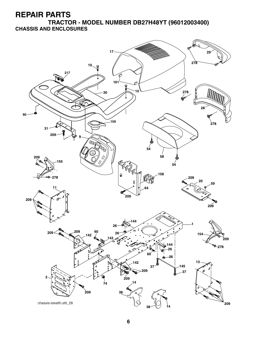**TRACTOR - MODEL NUMBER DB27H48YT (96012003400) CHASSIS AND ENCLOSURES**

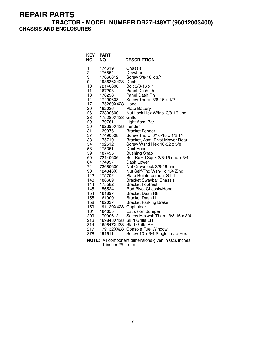#### **TRACTOR - MODEL NUMBER DB27H48YT (96012003400) CHASSIS AND ENCLOSURES**

| <b>KEY</b><br>NO.                                                                                                                                                                                                                                                | <b>PART</b><br>NO.                                                                                                                                                                                                                                                                                                                                                                                   | <b>DESCRIPTION</b>                                                                                                                                                                                                                                                                                                                                                                                                                                                                                                                                                                                                                                                                                                                                                                                                                                                                                                                                                                      |
|------------------------------------------------------------------------------------------------------------------------------------------------------------------------------------------------------------------------------------------------------------------|------------------------------------------------------------------------------------------------------------------------------------------------------------------------------------------------------------------------------------------------------------------------------------------------------------------------------------------------------------------------------------------------------|-----------------------------------------------------------------------------------------------------------------------------------------------------------------------------------------------------------------------------------------------------------------------------------------------------------------------------------------------------------------------------------------------------------------------------------------------------------------------------------------------------------------------------------------------------------------------------------------------------------------------------------------------------------------------------------------------------------------------------------------------------------------------------------------------------------------------------------------------------------------------------------------------------------------------------------------------------------------------------------------|
| 1<br>$\overline{\mathbf{c}}$<br>3<br>9<br>10<br>11<br>13<br>14<br>17<br>20<br>26<br>28<br>29<br>30<br>31<br>37<br>38<br>54<br>58<br>59<br>60<br>64<br>74<br>90<br>142<br>143<br>144<br>145<br>154<br>155<br>158<br>159<br>161<br>209<br>213<br>214<br>217<br>278 | 174619<br>176554<br>17060612<br>193636X428<br>72140608<br>167203<br>178298<br>17490608<br>175260X428 Hood<br>162026<br>73800600<br>175289X428<br>179761<br>192395X428<br>139976<br>17490508<br>175710<br>192512<br>175351<br>187495<br>72140606<br>174997<br>73680600<br>124346X<br>175702<br>186689<br>175582<br>156524<br>161897<br>161900<br>162037<br>191120X428<br>164655<br>17000612<br>191611 | Chassis<br>Drawbar<br>Screw 3/8-16 x 3/4<br>Dash<br>Bolt 3/8-16 x 1<br>Panel Dash Lh<br>Panel Dash Rh<br>Screw Thdrol 3/8-16 x 1/2<br><b>Plate Battery</b><br>Nut Lock Hex W/Ins 3/8-16 unc<br>Grille<br>Light Asm. Bar<br>Fender<br><b>Bracket Fender</b><br>Screw Thdrol 6/16-18 x 1/2 TYT<br>Bracket, Asm. Pivot Mower Rear<br>Screw Wshd Hex 10-32 x 5/8<br>Duct Hood<br><b>Bushing Snap</b><br>Bolt RdHd Sqnk 3/8-16 unc x 3/4<br>Dash Lower<br>Nut Crownlock 3/8-16 unc<br>Nut Self-Thd Wsh-Hd 1/4 Zinc<br><b>Plate Reinforcement STLT</b><br><b>Bracket Swaybar Chassis</b><br><b>Bracket Footrest</b><br>Rod Pivot Chassis/Hood<br><b>Bracket Dash Rh</b><br>Bracket Dash Lh<br><b>Bracket Parking Brake</b><br>Cupholder<br><b>Extrusion Bumper</b><br>Screw Hexwsh Thdrol 3/8-16 x 3/4<br>169848X428 Skirt Grille LH<br>169847X428 Skirt Grille RH<br>179132X428 Console Fuel Window<br>Screw 10 x 3/4 Single Lead Hex<br>NOTE: All component dimensions given in U.S. inches |

1 inch = 25.4 mm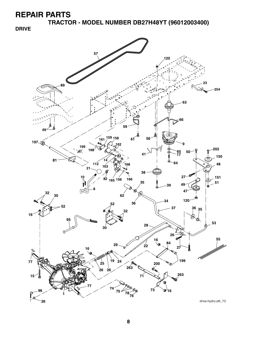**TRACTOR - MODEL NUMBER DB27H48YT (96012003400)**

**DRIVE**

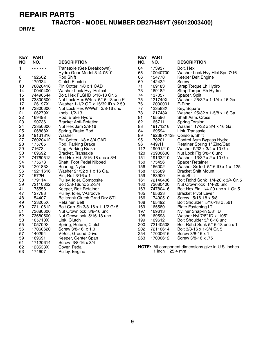# **TRACTOR - MODEL NUMBER DB27H48YT (96012003400)**

#### **DRIVE**

| <b>KEY</b><br>NO. | <b>PART</b><br>NO. | <b>DESCRIPTION</b>                   | <b>KEY</b><br>NO. | <b>PART</b><br>NO.           | <b>DESCRIPTION</b>                                  |
|-------------------|--------------------|--------------------------------------|-------------------|------------------------------|-----------------------------------------------------|
| 1                 | .                  | Transaxle (See Breakdown)            | 64                | 173937                       | Bolt, Hex                                           |
|                   |                    | Hydro Gear Model 314-0510            | 65                | 10040700                     | Washer Lock Hvy Hlcl Spr. 7/16                      |
| 8                 | 192502             | Rod Shift                            | 66                | 154778                       | Keeper Belt Engine                                  |
| 9                 | 179334             | <b>Clutch Electric</b>               | 69                | 142432                       | Screw                                               |
| 10                | 76020416           | Pin Cotter 1/8 x 1 CAD               | 71                | 169183                       | Strap Torque Lh Hydro                               |
| 14                | 10040400           | Washer Lock Hvy. Helical             | 73                | 169182                       | Strap Torque Rh Hydro                               |
| 15                | 74490544           | Bolt, Hex FLGHD 5/16-18 Gr. 5        | 74                | 137057                       | Spacer, Split                                       |
| 16                | 73800500           | Nut Lock Hex W/Ins 5/16-18 unc P     | 75                | 121749X                      | Washer 25/32 x 1-1/4 x 16 Ga.                       |
| 17                | 126197X            | Washer 1-1/2 OD x 15/32 ID x 2.50    | 76                | 12000001                     | E-Ring                                              |
| 19                | 73800600           | Nut Lock Hex W/Wsh 3/8-16 unc        | 77                | 123583X                      | Key, Square                                         |
| 21                | 106279X            | knob 1/2-13                          | 78                | 121748X                      | Washer 25/32 x 1-5/8 x 16 Ga.                       |
| 22                | 169498             | Rod, Brake Hydro                     | 81                | 165596                       | <b>Shaft Asm. Cross</b>                             |
| 23                | 190736             | <b>Bracket Anti-Rotation</b>         | 82                | 165711                       | <b>Spring Torsion</b>                               |
| 24                | 73350600           | Nut Hex Jam 3/8-16                   | 83                | 19171216                     | Washer 17/32 x 3/4 x 16 Ga.                         |
| 25                | 106888X            | Spring, Brake Rod                    | 84                | 169594                       | Link, Transaxle                                     |
| 26                | 19131316           | Washer                               | 89                |                              | 192387X428 Console, Shift                           |
| 27                | 76020412           | Pin Cotter 1/8 x 3/4 CAD.            | 95                | 170201                       | Control Asm Bypass Hydro                            |
| 28                | 175765             | Rod, Parking Brake                   | 96                | 4497H                        | Retainer Spring 1" Zinc/Cad                         |
| 29                | 71673              | Cap, Parking Brake                   | 112               | 19091210                     | Washer 9/32 x 3/4 x 10 Ga.                          |
| 30                | 169592             | Bracket, Transaxle                   | 120               | 73900600                     | Nut Lock Flg 3/8-16 unc                             |
| 32                | 74760512           | Bolt Hex Hd 5/16-18 unc x 3/4        | 151               | 19133210                     | Washer 13/32 x 2 x 10 Ga.                           |
| 34                | 175578             | Shaft, Foot Pedal Nibbed             | 150               | 175456                       | <b>Spacer Retainer</b>                              |
| 35                | 120183X            | Bearing, Nylon                       | 156               | 166002                       | Washer Srrted 5/16 ID x 1 x .125                    |
| 36                | 19211616           | Washer 21/32 x 1 x 16 Ga.            | 158               | 165589                       | <b>Bracket Shift Mount</b>                          |
| 37                | 1572H              | Pin, Roll 3/16 x 1                   | 159               | 183900                       | Hub Shift                                           |
| 38                | 179114             | Pulley, Idler, Composite             | 161               | 72140406                     | Bolt Rdhd Sqnk 1/4-20 x 3/4 Gr. 5                   |
| 39                | 72110622           | Bolt 3/8-16unc x 2-3/4               | 162               | 73680400                     | Nut Crownlock 1/4-20 unc                            |
| 41                | 175556             | Keeper, Belt Retainer                | 163               | 74780416                     | Bolt Hex Fin 1/4-20 unc x 1 Gr. 5                   |
| 47                | 127783             | Pulley, Idler, V-Groove              | 165               | 165623                       | <b>Bracket Pivot Lever</b>                          |
| 48                | 154407             | <b>Bellcrank Clutch Grnd Drv STL</b> | 166               | 17490510                     | Screw 5/16-18 x 5/8                                 |
| 49                | 123205X            | Retainer, Belt                       | 168               | 165492                       | Bolt Shoulder 5/16-18 x .561                        |
| 50                | 72110612           | Bolt Carr Sh 3/8-16 x 1-1/2 Gr.5     | 169               | 165580                       | Plate Fastening LT                                  |
| 51                | 73680600           | Nut Crownlock 3/8-16 unc             | 197               | 169613                       | Nyliner Snap-In 5/8" ID                             |
| 52                | 73680500           | Nut Crownlock 5/16-18 unc            | 198               | 169593                       | Washer Nyl 7/8" ID x .105"                          |
| 53                | 105710X            | Link, Clutch                         | 199               | 169612                       | Bolt Shoulder 5/16-18 unc                           |
| 55                | 105709X            | Spring, Return, Clutch               | 200               | 72140508                     | Bolt Rdhd Sqnk 5/16-18 unc x 1                      |
| 56                | 17060620           | Screw 3/8-16 x 1.0                   | 202               | 72110614                     | Bolt 3/8-16 x 1-3/4 Gr. 5                           |
| 57                | 140294             | V-Belt, Ground Drive                 | 254               | 17000616                     | Screw 3/8-16 x 1                                    |
| 59                | 169691             | Keeper, Center Span                  | 263               | 17000612                     | Screw 3/8-16 x .75                                  |
| 61                | 17120614           | Screw 3/8-16 x 3/4                   |                   |                              |                                                     |
| 62                | 123533X            | Cover, Pedal                         |                   |                              | NOTE: All component dimensions give in U.S. inches. |
| 63                | 174607             | Pulley, Engine                       |                   | 1 inch = $25.4 \, \text{mm}$ |                                                     |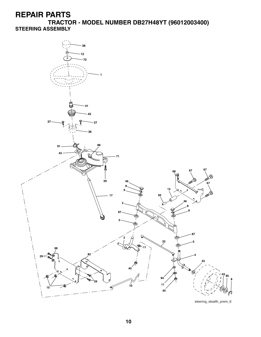**TRACTOR - MODEL NUMBER DB27H48YT (96012003400) STEERING ASSEMBLY**

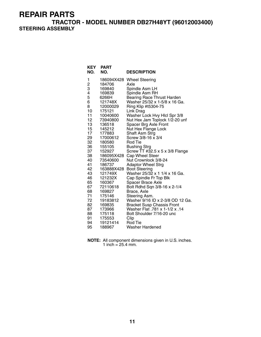**TRACTOR - MODEL NUMBER DB27H48YT (96012003400) STEERING ASSEMBLY**

| <b>KEY</b><br>NO. | <b>PART</b><br>NO. | <b>DESCRIPTION</b>                                                  |
|-------------------|--------------------|---------------------------------------------------------------------|
| 1                 | 186094X428         | <b>Wheel Steering</b>                                               |
| 2<br>3<br>4       | 184706             | Axle                                                                |
|                   | 169840             | Spindle Asm LH                                                      |
|                   | 169839             | Spindle Asm RH                                                      |
| 5                 | 6266H              | <b>Bearing Race Thrust Harden</b>                                   |
| 6                 | 121748X            | Washer 25/32 x 1-5/8 x 16 Ga.                                       |
| 8                 | 12000029           | Ring Klip #t5304-75                                                 |
| 10                | 175121             | Link Drag                                                           |
| 11                | 10040600           | Washer Lock Hvy Hlcl Spr 3/8                                        |
| 12<br>13          | 73940800           | Nut Hex Jam Toplock 1/2-20 unf                                      |
| 15                | 136518<br>145212   | Spacer Brg Axle Front<br>Nut Hex Flange Lock                        |
| 17                | 177883             | Shaft Asm Strg                                                      |
| 29                | 17000612           | Screw 3/8-16 x 3/4                                                  |
| 32                | 180580             | Rod Tie                                                             |
| 36                | 155105             | Bushing Strg                                                        |
| 37                | 152927             | Screw TT #32.5 x 5 x 3/8 Flange                                     |
| 38                | 186095X428         | Cap Wheel Steer                                                     |
| 40                | 73540600           | Nut Crownlock 3/8-24                                                |
| 41                | 186737             | <b>Adaptor Wheel Strg</b>                                           |
| 42                | 163888X428         | <b>Boot Steering</b>                                                |
| 43                | 121749X            | Washer 25/32 x 1 1/4 x 16 Ga.                                       |
| 46                | 121232X            | Cap Spindle Fr Top Blk                                              |
| 65                | 160367             | Spacer Brace Axle                                                   |
| 67                | 72110618           | Bolt Rdhd Sqn 3/8-16 x 2-1/4                                        |
| 68                | 169827             | Brace, Axle                                                         |
| 71<br>72          | 175146             | Steering Asm.<br>Washer 9/16 ID x 2-3/8 OD 12 Ga.                   |
| 82                | 19183812<br>169835 |                                                                     |
| 87                | 173966             | <b>Bracket Susp Chassis Front</b><br>Washer Flat .781 x 1-1/2 x .14 |
| 88                | 175118             | Bolt Shoulder 7/16-20 unc                                           |
| 91                | 175553             | Clip                                                                |
| 94                | 19121414           | Rod Tie                                                             |
| 95                | 188967             | <b>Washer Hardened</b>                                              |

**NOTE:** All component dimensions given in U.S. inches. 1 inch =  $25.4$  mm.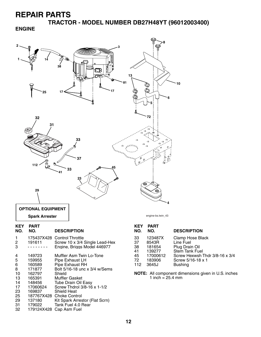**TRACTOR - MODEL NUMBER DB27H48YT (96012003400)**

#### **ENGINE**

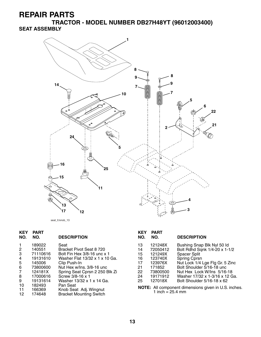**TRACTOR - MODEL NUMBER DB27H48YT (96012003400) SEAT ASSEMBLY**



seat\_lt.knob\_13

| <b>KEY</b><br>NO. | <b>PART</b><br>NO. | <b>DESCRIPTION</b>             | <b>KEY</b><br>NO. | <b>PART</b><br>NO. | <b>DESCRIPTION</b>                                   |
|-------------------|--------------------|--------------------------------|-------------------|--------------------|------------------------------------------------------|
|                   | 189022             | Seat                           | 13                | 121248X            | Bushing Snap Blk Nyl 50 ld                           |
| $\overline{2}$    | 140551             | Bracket Pivot Seat 8 720       | 14                | 72050412           | Bolt Rdhd Sqnk 1/4-20 x 1-1/2                        |
| 3                 | 71110616           | Bolt Fin Hex 3/8-16 unc x 1    | 15                | 121249X            | Spacer Split                                         |
| $\overline{4}$    | 19131610           | Washer Flat 13/32 x 1 x 10 Ga. | 16                | 123740X            | Spring Cprsn                                         |
| 5                 | 145006             | Clip Push-In                   | 17                | 123976X            | Nut Lock 1/4 Lge Flg Gr. 5 Zinc                      |
| 6                 | 73800600           | Nut Hex w/Ins, 3/8-16 unc      | 21                | 171852             | Bolt Shoulder 5/16-18 unc                            |
| 7                 | 124181X            | Spring Seat Cprsn 2 250 Blk Zi | 22                | 73800500           | Nut Hex Lock W/Ins 5/16-18                           |
| 8                 | 17000616           | Screw 3/8-16 x 1               | 24                | 19171912           | Washer 17/32 x 1-3/16 x 12 Ga.                       |
| 9                 | 19131614           | Washer 13/32 x 1 x 14 Ga.      | 25                | 127018X            | Bolt Shoulder 5/16-18 x 62                           |
| 10                | 182493             | Pan Seat                       |                   |                    |                                                      |
| -11               | 166369             | Knob Seat Adj. Wingnut         |                   |                    | NOTE: All component dimensions given in U.S. inches. |
| $\overline{a}$    | 1710.IO            | Duaskat Marrating Cruitale     |                   | 1 inch = 25.4 mm   |                                                      |

12 174648 Bracket Mounting Switch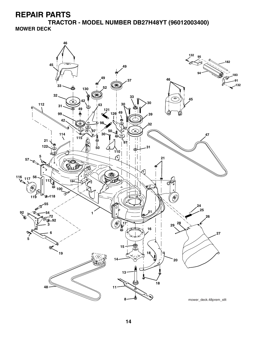**TRACTOR - MODEL NUMBER DB27H48YT (96012003400) MOWER DECK**

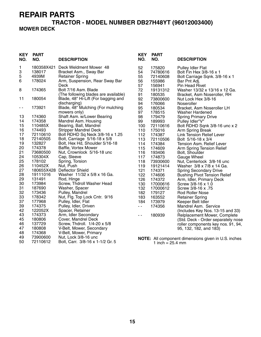#### **TRACTOR - MODEL NUMBER DB27H48YT (96012003400) MOWER DECK**

| KEY<br>NO. | <b>PART</b><br>NO.   | <b>DESCRIPTION</b>                                     | <b>KEY</b><br>NO. | <b>PART</b><br>NO.           | <b>DESCRIPTION</b>                                  |
|------------|----------------------|--------------------------------------------------------|-------------------|------------------------------|-----------------------------------------------------|
| 1<br>3     | 180358X421<br>138017 | Deck Weldment Mower 48<br>Bracket Asm., Sway Bar       | 52<br>54          | 175820<br>74780616           | <b>Pulley Idler Flat</b><br>Bolt Fin Hex 3/8-16 x 1 |
| 5          | 4939M                | <b>Retainer Spring</b>                                 | 55                | 72140608                     | Bolt Carriage Sqnk. 3/8-16 x 1                      |
| 6          | 178024               | Arm, Suspension, Rear Sway Bar                         | 56                | 155986                       | Bar Pnt Adj.                                        |
|            |                      | Deck                                                   | 57                | 156941                       | Pin Head Rivet                                      |
| 8          | 174365               | Bolt 7/16 Asm. Blade                                   | 72                | 19131312                     | Washer 13/32 x 13/16 x 12 Ga.                       |
|            |                      | (The following blades are available)                   | 91                | 180535                       | Bracket, Asm Noseroller, RH                         |
| 11         | 180054               | Blade, 48" Hi-Lift (For bagging and                    | 92                | 73800600                     | Nut Lock Hex 3/8-16                                 |
|            |                      | discharging)                                           | 94                | 176066                       | Noseroller                                          |
| - -        | 173921               | Blade, 48" Mulching (For mulching                      | 95                | 180534                       | Bracket, Asm Noseroller LH                          |
|            |                      | mowers only)                                           | 97                | 178515                       | Washer Hardened                                     |
| 13         | 174360<br>174358     | Shaft Asm. w/Lower Bearing                             | 98                | 179479                       | <b>Spring Primary Drive</b>                         |
| 14<br>15   | 110485X              | Mandrel Asm. Housing<br>Bearing, Ball, Mandrel         | 99<br>100         | 189993<br>72110616           | Pulley Idler"V"                                     |
| 16         | 174493               | <b>Stripper Mandrel Deck</b>                           | 110               | 175016                       | Bolt RDHD Sqnk 3/8-16 unc x 2<br>Arm Spring Break   |
| 17         | 72110610             | Bolt RDHD Sq Neck 3/8-16 x 1.25                        | 112               | 174387                       | <b>Link Tension Relief Lever</b>                    |
| 18         | 72140505             | Bolt, Carriage 5/16-18 x 5/8                           | 113               | 72110506                     | Bolt 5/16-18 x 3/4                                  |
| 19         | 132827               | Bolt, Hex Hd, Shoulder 5/16-18                         | 114               | 174384                       | Tension Asm. Relief Lever                           |
| 20         | 174378               | Baffle, Vortex Mower                                   | 115               | 174609                       | Arm Spring Tension Relief                           |
| 21         | 73680500             | Nut, Crownlock 5/16-18 unc                             | 116               | 193406                       | Bolt, Shoulder                                      |
| 24         | 105304X              | Cap, Sleeve                                            | 117               | 174873                       | Gauge Wheel                                         |
| 25         | 178102               | Spring, Torsion                                        | 118               | 73930600                     | Nut, Centerlock 3/8-16 unc                          |
| 26         | 110452X              | Nut, Push                                              | 119               | 19121414                     | Washer 3/8 x 7/8 x 14 Ga.                           |
| 27<br>28   | 180655X428           | <b>Deflector Shield</b><br>Washer 11/32 x 5/8 x 16 Ga. | 121               | 174371                       | <b>Spring Secondary Drive</b>                       |
| 29         | 19111016<br>131491   | Rod, Hinge                                             | 122<br>126        | 174606<br>174372             | <b>Bushing Pivot Tension Relief</b>                 |
| 30         | 173984               | Screw, Thdroll Washer Head                             | 130               | 17000616                     | Arm, Idler, Primary Deck<br>Screw 3/8-16 x 1.0      |
| 31         | 187690               | Washer, Spacer                                         | 132               | 17000612                     | Screw 3/8-16 x .75                                  |
| 32         | 173436               | Pulley, Mandrel                                        | 182               | 179127                       | Rod Roller Nose                                     |
| 33         | 178342               | Nut, Flg. Top Lock Cntr. 9/16                          | 183               | 163552                       | <b>Retainer Spring</b>                              |
| 37         | 177968               | Pulley, Idler, Flat                                    | 184               | 173979                       | Keeper Belt Idler                                   |
| 39         | 174375               | Pulley, Idler, Driven                                  | $\sim$ $\sim$     | 174356                       | Mandrel Asm. Service                                |
| 42         | 122052X              | Spacer, Retainer                                       |                   |                              | (Includes Key Nos. 13-15 and 33)                    |
| 43         | 174373               | Arm, Idler Secondary                                   | $\sim$ $\sim$     | 180939                       | Relplacement Mower, Complete                        |
| 45         | 180806               | Cover, Mandrel Deck                                    |                   |                              | (Std. Deck - Order separately nose                  |
| 46         | 137729               | Screw, Thdroll. 1/4-20 x 5/8                           |                   |                              | roller components key nos. 91, 94,                  |
| 47         | 180808               | V-Belt, Mower, Secondary                               |                   |                              | 95, 132, 182, and 183)                              |
| 48<br>49   | 174368<br>73900600   | V-Belt, Mower, Primary<br>Nut, Lock 3/8-16 unc         |                   |                              |                                                     |
| 50         | 72110612             | Bolt, Carr. 3/8-16 x 1-1/2 Gr. 5                       |                   | 1 inch = $25.4 \, \text{mm}$ | NOTE: All component dimensions given in U.S. inches |